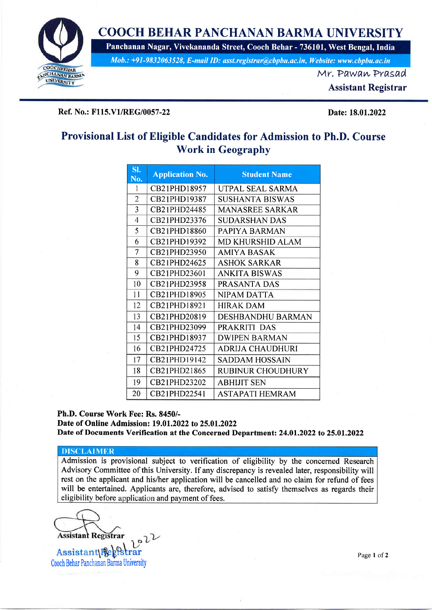

# COOCH BEHAR PANCHANAN BARMA UNIVERSITY

Panchanan Nagar, Vivekananda Street, Cooch Behar - 736101, West Bengal, lndia

Mob,: +91-9832063528, E-muil ID: asst.registrut@;bpbu.ac.in, Website: www.cbpbu.ac.in

Mr. PawawPrasad

Assistant Registrar

### Ref. No.: F115.V1/REG/0057-22 Date: 18.01.2022

## Provisional List of Eligible Candidates for Admission to Ph.D. Course Work in Geography

| SI.<br>No.     | <b>Application No.</b> | <b>Student Name</b>      |
|----------------|------------------------|--------------------------|
| 1              | CB21PHD18957           | UTPAL SEAL SARMA         |
| $\overline{2}$ | CB21PHD19387           | <b>SUSHANTA BISWAS</b>   |
| 3              | CB21PHD24485           | <b>MANASREE SARKAR</b>   |
| 4              | CB21PHD23376           | <b>SUDARSHAN DAS</b>     |
| 5              | CB21PHD18860           | PAPIYA BARMAN            |
| 6              | CB21PHD19392           | <b>MD KHURSHID ALAM</b>  |
| 7              | CB21PHD23950           | AMIYA BASAK              |
| 8              | CB21PHD24625           | <b>ASHOK SARKAR</b>      |
| 9              | CB21PHD23601           | <b>ANKITA BISWAS</b>     |
| 10             | CB21PHD23958           | PRASANTA DAS             |
| 11             | CB21PHD18905           | NIPAM DATTA              |
| 12             | CB21PHD18921           | <b>HIRAK DAM</b>         |
| 13             | CB21PHD20819           | <b>DESHBANDHU BARMAN</b> |
| 14             | CB21PHD23099           | PRAKRITI DAS             |
| 15             | CB21PHD18937           | <b>DWIPEN BARMAN</b>     |
| 16             | CB21PHD24725           | <b>ADRIJA CHAUDHURI</b>  |
| 17             | CB21PHD19142           | <b>SADDAM HOSSAIN</b>    |
| 18             | CB21PHD21865           | RUBINUR CHOUDHURY        |
| 19             | CB21PHD23202           | ABHIJIT SEN              |
| 20             | CB21PHD22541           | ASTAPATI HEMRAM          |

#### Ph.D. Course Work Fee: Rs. 8450/-

Date of Online Admission: 19.01.2022 to 25.01.2022 Date of Documents Verification at the Concerned Department: 24.01.2022 to 25.01.2022

#### **DISCLAIMER**

Admission is provisional subject to verification of eligibility by the concerned Research Advisory Committee of this University. If any discrepancy is revealed later, responsibility will rest on the applicant and his/her application will be cancelled and no claim for refund of fees will be entertained. Applicants are, therefore, advised to satisfy themselves as regards their eligibility before application and payment of fees.

**Assistant Registrar** 

**Assistant** Cooch Behar Panchanan Barma University